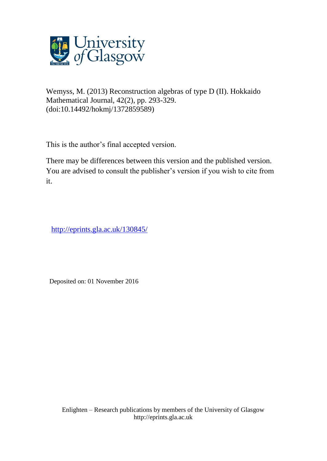

Wemyss, M. (2013) Reconstruction algebras of type D (II). Hokkaido Mathematical Journal, 42(2), pp. 293-329. (doi:10.14492/hokmj/1372859589)

This is the author's final accepted version.

There may be differences between this version and the published version. You are advised to consult the publisher's version if you wish to cite from it.

[http://eprints.gla.ac.uk/130845/](http://eprints.gla.ac.uk/130844/)

Deposited on: 01 November 2016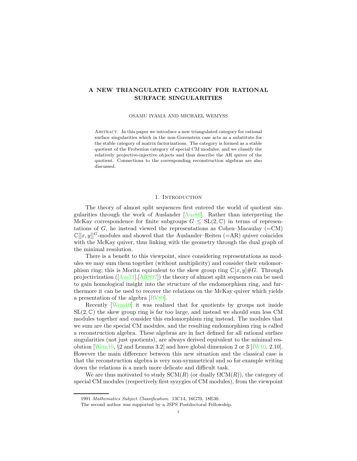# A NEW TRIANGULATED CATEGORY FOR RATIONAL SURFACE SINGULARITIES

#### OSAMU IYAMA AND MICHAEL WEMYSS

Abstract. In this paper we introduce a new triangulated category for rational surface singularities which in the non-Gorenstein case acts as a substitute for the stable category of matrix factorizations. The category is formed as a stable quotient of the Frobenius category of special CM modules, and we classify the relatively projective-injective objects and thus describe the AR quiver of the quotient. Connections to the corresponding reconstruction algebras are also discussed.

#### 1. INTRODUCTION

The theory of almost split sequences first entered the world of quotient singularities through the work of Auslander [\[Aus86\]](#page-14-0). Rather than interpreting the McKay correspondence for finite subgroups  $G \leq SL(2,\mathbb{C})$  in terms of representations of G, he instead viewed the representations as Cohen–Macaulay  $(=CM)$  $\mathbb{C}[[x,y]]^G$ -modules and showed that the Auslander–Reiten (=AR) quiver coincides with the McKay quiver, thus linking with the geometry through the dual graph of the minimal resolution.

There is a benefit to this viewpoint, since considering representations as modules we may sum them together (without multiplicity) and consider their endomorphism ring; this is Morita equivalent to the skew group ring  $\mathbb{C}[x, y] \#G$ . Through projectivization([\[Aus71\]](#page-14-1),[\[ARS97\]](#page-14-2)) the theory of almost split sequences can be used to gain homological insight into the structure of the endomorphism ring, and furthermore it can be used to recover the relations on the McKay quiver which yields a presentation of the algebra [\[RV89\]](#page-14-3).

Recently [\[Wem10\]](#page-14-4) it was realized that for quotients by groups not inside  $SL(2,\mathbb{C})$  the skew group ring is far too large, and instead we should sum less CM modules together and consider this endomorphism ring instead. The modules that we sum are the special CM modules, and the resulting endomorphism ring is called a reconstruction algebra. These algebras are in fact defined for all rational surface singularities (not just quotients), are always derived equivalent to the minimal res-olution [\[Wem10,](#page-14-4)  $\S 2$  and Lemma 3.2] and have global dimension 2 or 3 [\[IW10,](#page-14-5) 2.10]. However the main difference between this new situation and the classical case is that the reconstruction algebra is very non-symmetrical and so for example writing down the relations is a much more delicate and difficult task.

We are thus motivated to study  $SCM(R)$  (or dually  $\Omega CM(R)$ ), the category of special CM modules (respectively first syzygies of CM modules), from the viewpoint

<sup>1991</sup> Mathematics Subject Classification. 13C14, 16G70, 18E30.

The second author was supported by a JSPS Postdoctoral Fellowship.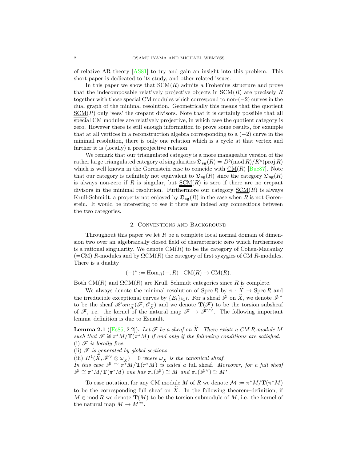of relative AR theory [\[AS81\]](#page-14-6) to try and gain an insight into this problem. This short paper is dedicated to its study, and other related issues.

In this paper we show that  $SCM(R)$  admits a Frobenius structure and prove that the indecomposable relatively projective objects in  $SCM(R)$  are precisely R together with those special CM modules which correspond to non-(−2) curves in the dual graph of the minimal resolution. Geometrically this means that the quotient  $SCM(R)$  only 'sees' the crepant divisors. Note that it is certainly possible that all special CM modules are relatively projective, in which case the quotient category is zero. However there is still enough information to prove some results, for example that at all vertices in a reconstruction algebra corresponding to a  $(-2)$  curve in the minimal resolution, there is only one relation which is a cycle at that vertex and further it is (locally) a preprojective relation.

We remark that our triangulated category is a more manageable version of the rather large triangulated category of singularities  $\mathfrak{D}_{\textbf{sg}}(R) = D^b(\operatorname{mod} R)/K^b(\operatorname{proj} R)$ which is well known in the Gorenstein case to coincide with  $CM(R)$  [\[Buc87\]](#page-14-7). Note that our category is definitely not equivalent to  $\mathfrak{D}_{sg}(R)$  since the category  $\mathfrak{D}_{sg}(R)$ is always non-zero if R is singular, but  $SCM(R)$  is zero if there are no crepant</u> divisors in the minimal resolution. Furthermore our category  $\underline{SCM}(R)$  is always Krull-Schmidt, a property not enjoyed by  $\mathfrak{D}_{\mathbf{sg}}(R)$  in the case when R is not Gorenstein. It would be interesting to see if there are indeed any connections between the two categories.

### 2. Conventions and Background

Throughout this paper we let R be a complete local normal domain of dimension two over an algebraically closed field of characteristic zero which furthermore is a rational singularity. We denote  $CM(R)$  to be the category of Cohen-Macaulay  $(=CM)$  R-modules and by  $\Omega CM(R)$  the category of first syzygies of CM R-modules. There is a duality

$$
(-)^* := \operatorname{Hom}_R(-, R) : \operatorname{CM}(R) \to \operatorname{CM}(R).
$$

Both CM(R) and  $\Omega$ CM(R) are Krull–Schmidt categories since R is complete.

We always denote the minimal resolution of Spec R by  $\pi : \widetilde{X} \to \operatorname{Spec} R$  and the irreducible exceptional curves by  $\{E_i\}_{i\in I}$ . For a sheaf  $\mathscr F$  on  $\widetilde X$ , we denote  $\mathscr F^\vee$ to be the sheaf  $\mathscr{Hom}_{\tilde X}(\mathscr{F},\mathscr{O}_{\tilde X})$  and we denote  $\mathbf{T}(\mathscr{F})$  to be the torsion subsheaf of  $\mathscr{F}$ , i.e. the kernel of the natural map  $\mathscr{F} \to \mathscr{F}^{\vee\vee}$ . The following important lemma–definition is due to Esnault.

**Lemma 2.1** ([\[Es85,](#page-14-8) 2.2]). Let  $\mathcal{F}$  be a sheaf on  $\widetilde{X}$ . There exists a CM R-module M such that  $\mathscr{F} \cong \pi^*M/\mathbf{T}(\pi^*M)$  *if and only if the following conditions are satisfied.*  $(i)$   $\mathscr F$  *is locally free.* 

(ii) F *is generated by global sections.*

(iii)  $H^1(\widetilde{X}, \mathscr{F}^{\vee} \otimes \omega_{\widetilde{X}}) = 0$  where  $\omega_{\widetilde{X}}$  is the canonical sheaf. *In this case*  $\mathscr{F} \cong \pi^*M/\mathbf{T}(\pi^*M)$  *is called a full sheaf. Moreover, for a full sheaf*  $\mathscr{F} \cong \pi^*M/\mathbf{T}(\pi^*M)$  one has  $\pi_*(\mathscr{F}) \cong M$  and  $\pi_*(\mathscr{F}^{\vee}) \cong M^*$ .

To ease notation, for any CM module M of R we denote  $\mathcal{M} := \pi^* M / \mathbf{T}(\pi^* M)$ to be the corresponding full sheaf on  $X$ . In the following theorem–definition, if  $M \in \text{mod } R$  we denote  $\mathbf{T}(M)$  to be the torsion submodule of M, i.e. the kernel of the natural map  $M \to M^{**}$ .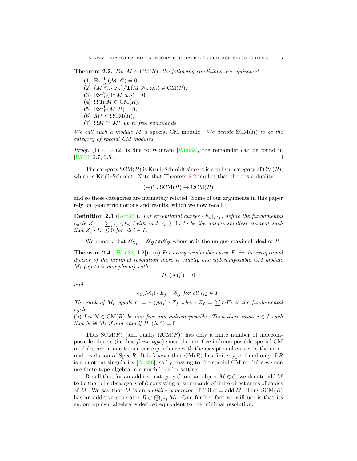<span id="page-3-0"></span>**Theorem 2.2.** *For*  $M \in CM(R)$ *, the following conditions are equivalent.* 

- (1)  $\mathrm{Ext}^1_{\widetilde{X}}(\mathcal{M}, \mathscr{O}) = 0,$
- (2)  $(M \otimes_R \omega_R)/{\bf T}(M \otimes_R \omega_R) \in CM(R)$ ,
- (3)  $\text{Ext}_{R}^{2}(\text{Tr }M,\omega_{R})=0,$
- (4)  $\Omega$  Tr  $M \in CM(R)$ *,*
- (5)  $\text{Ext}_{R}^{1}(M, R) = 0,$
- (6)  $M^* \in \Omega \text{CM}(R)$ ,
- (7)  $\Omega M \cong M^*$  *up to free summands.*

*We call such a module* M *a* special CM module*. We denote* SCM(R) *to be the category of special CM modules.*

*Proof.* (1)  $\iff$  (2) is due to Wunram [\[Wun88\]](#page-14-9), the remainder can be found in [\[IW10,](#page-14-5) 2.7, 3.5].

The category  $SCM(R)$  is Krull–Schmidt since it is a full subcategory of  $CM(R)$ , which is Krull–Schmidt. Note that Theorem [2.2](#page-3-0) implies that there is a duality

$$
(-)^* : \text{SCM}(R) \to \Omega \text{CM}(R)
$$

and so these categories are intimately related. Some of our arguments in this paper rely on geometric notions and results, which we now recall :

**Definition 2.3** ( $[Art66]$ ). *For exceptional curves*  ${E_i}_{i \in I}$ *, define the fundamental cycle*  $Z_f = \sum_{i \in I} r_i E_i$  *(with each*  $r_i \geq 1$ ) to be the unique smallest element such *that*  $Z_f \cdot E_i \leq 0$  *for all*  $i \in I$ *.* 

We remark that  $\mathscr{O}_{Z_f} = \mathscr{O}_{\widetilde{X}}/\mathfrak{m}\mathscr{O}_{\widetilde{X}}$  where  $\mathfrak{m}$  is the unique maximal ideal of R.

<span id="page-3-1"></span>**Theorem 2.4** ( $[Wun88, 1.2]$  $[Wun88, 1.2]$ ). (a) *For every irreducible curve*  $E_i$  *in the exceptional divisor of the minimal resolution there is exactly one indecomposable CM module* M<sup>i</sup> *(up to isomorphism) with*

$$
H^1(\mathcal{M}_i^\vee)=0
$$

*and*

$$
c_1(\mathcal{M}_i) \cdot E_j = \delta_{ij} \text{ for all } i, j \in I.
$$

The rank of  $M_i$  equals  $r_i = c_1(M_i) \cdot Z_f$  where  $Z_f = \sum r_i E_i$  *is the fundamental cycle.*

(b) Let  $N \in CM(R)$  be non-free and indecomposable. Then there exists  $i \in I$  *such that*  $N \cong M_i$  *if and only if*  $H^1(\mathcal{N}^\vee) = 0$ *.* 

Thus  $SCM(R)$  (and dually  $\Omega CM(R)$ ) has only a finite number of indecomposable objects (i.e. has *finite type*) since the non-free indecomposable special CM modules are in one-to-one correspondence with the exceptional curves in the minimal resolution of Spec R. It is known that  $CM(R)$  has finite type if and only if R is a quotient singularity [\[Aus86\]](#page-14-0), so by passing to the special CM modules we can use finite-type algebra in a much broader setting.

Recall that for an additive category  $\mathcal C$  and an object  $M \in \mathcal C$ , we denote add M to be the full subcategory of  $\mathcal C$  consisting of summands of finite direct sums of copies of M. We say that M is an *additive generator* of C if  $C = \text{add } M$ . Thus  $SCM(R)$ has an additive generator  $R \oplus \bigoplus_{i \in I} M_i$ . One further fact we will use is that its endomorphism algebra is derived equivalent to the minimal resolution: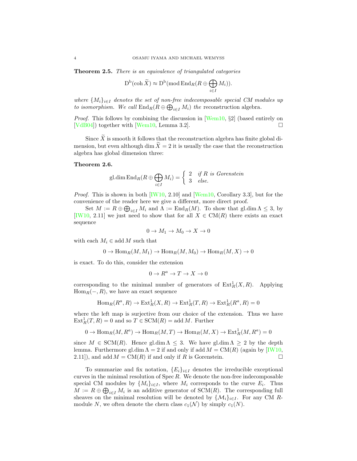<span id="page-4-0"></span>Theorem 2.5. *There is an equivalence of triangulated categories*

$$
D^b(\operatorname{coh}\widetilde{X}) \approx D^b(\operatorname{mod} \operatorname{End}_R(R \oplus \bigoplus_{i \in I} M_i)).
$$

*where*  ${M_i}_{i \in I}$  *denotes the set of non-free indecomposable special CM modules up to isomorphism.* We call  $\text{End}_{R}(R \oplus \bigoplus_{i \in I} M_{i})$  the reconstruction algebra.

*Proof.* This follows by combining the discussion in [\[Wem10,](#page-14-4) §2] (based entirely on [\[VdB04\]](#page-14-11)) together with [\[Wem10,](#page-14-4) Lemma 3.2].

Since  $\overline{X}$  is smooth it follows that the reconstruction algebra has finite global dimension, but even although dim  $X=2$  it is usually the case that the reconstruction algebra has global dimension three:

### Theorem 2.6.

$$
\text{gl.dim End}_R(R \oplus \bigoplus_{i \in I} M_i) = \begin{cases} 2 & \text{if } R \text{ is Gorenstein} \\ 3 & \text{else.} \end{cases}
$$

*Proof.* This is shown in both [\[IW10,](#page-14-5) 2.10] and [\[Wem10,](#page-14-4) Corollary 3.3], but for the convenience of the reader here we give a different, more direct proof.

Set  $M := R \oplus \bigoplus_{i \in I} M_i$  and  $\Lambda := \text{End}_R(M)$ . To show that gl.dim  $\Lambda \leq 3$ , by [\[IW10,](#page-14-5) 2.11] we just need to show that for all  $X \in CM(R)$  there exists an exact sequence

$$
0 \to M_1 \to M_0 \to X \to 0
$$

with each  $M_i \in \text{add } M$  such that

$$
0 \to \text{Hom}_R(M, M_1) \to \text{Hom}_R(M, M_0) \to \text{Hom}_R(M, X) \to 0
$$

is exact. To do this, consider the extension

$$
0\to R^a\to T\to X\to 0
$$

corresponding to the minimal number of generators of  $\text{Ext}^1_R(X,R)$ . Applying  $Hom_R(-, R)$ , we have an exact sequence

$$
\text{Hom}_{R}(R^{a}, R) \to \text{Ext}_{R}^{1}(X, R) \to \text{Ext}_{R}^{1}(T, R) \to \text{Ext}_{R}^{1}(R^{a}, R) = 0
$$

where the left map is surjective from our choice of the extension. Thus we have  $\text{Ext}_{R}^{1}(T, R) = 0$  and so  $T \in \text{SCM}(R) = \text{add } M$ . Further

$$
0\to \operatorname{Hom}_R(M,R^a)\to \operatorname{Hom}_R(M,T)\to \operatorname{Hom}_R(M,X)\to \operatorname{Ext}^1_R(M,R^a)=0
$$

since  $M \in \text{SCM}(R)$ . Hence gl.dim  $\Lambda \leq 3$ . We have gl.dim  $\Lambda \geq 2$  by the depth lemma. Furthermore gl.dim  $\Lambda = 2$  if and only if add  $M = CM(R)$  (again by [\[IW10,](#page-14-5) 2.11]), and add  $M = CM(R)$  if and only if R is Gorenstein.

To summarize and fix notation,  ${E_i}_{i \in I}$  denotes the irreducible exceptional curves in the minimal resolution of  $Spec R$ . We denote the non-free indecomposable special CM modules by  $\{M_i\}_{i\in I}$ , where  $M_i$  corresponds to the curve  $E_i$ . Thus  $M := R \oplus \bigoplus_{i \in I} M_i$  is an additive generator of SCM(R). The corresponding full sheaves on the minimal resolution will be denoted by  $\{M_i\}_{i\in I}$ . For any CM Rmodule N, we often denote the chern class  $c_1(\mathcal{N})$  by simply  $c_1(N)$ .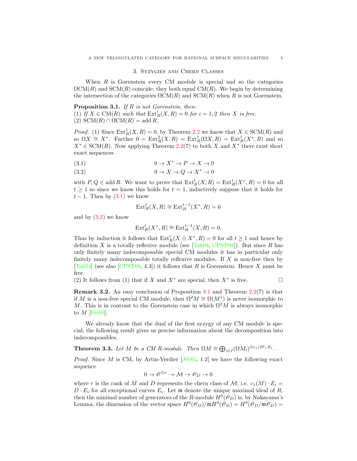#### 3. Syzygies and Chern Classes

When  $R$  is Gorenstein every CM module is special and so the categories  $\Omega CM(R)$  and  $SCM(R)$  coincide; they both equal  $CM(R)$ . We begin by determining the intersection of the categories  $\Omega$ CM(R) and SCM(R) when R is not Gorenstein.

<span id="page-5-1"></span>Proposition 3.1. *If* R *is not Gorenstein, then:* (1) If  $X \in CM(R)$  *such that*  $\text{Ext}_R^i(X, R) = 0$  *for*  $i = 1, 2$  *then* X *is free.* 

(2)  $SCM(R) \cap \Omega CM(R) = \text{add } R$ .

*Proof.* (1) Since  $\text{Ext}^1_R(X, R) = 0$ , by Theorem [2.2](#page-3-0) we know that  $X \in \text{SCM}(R)$  and so  $\Omega X \cong X^*$ . Further  $0 = \text{Ext}^2_R(X,R) = \text{Ext}^1_R(\Omega X,R) = \text{Ext}^1_R(X^*,R)$  and so  $X^* \in \text{SCM}(R)$ . Now applying Theorem [2.2\(](#page-3-0)7) to both X and  $X^*$  there exist short exact sequences

$$
(3.1) \t\t 0 \to X^* \to P \to X \to 0
$$

(3.2)  $0 \to X \to Q \to X^* \to 0$ 

with  $P, Q \in \text{add } R$ . We want to prove that  $\text{Ext}^t_R(X, R) = \text{Ext}^t_R(X^*, R) = 0$  for all  $t \geq 1$  so since we know this holds for  $t = 1$ , inductively suppose that it holds for  $t-1$ . Then by  $(3.1)$  we know

<span id="page-5-0"></span>
$$
\operatorname{Ext}_R^t(X,R)\cong\operatorname{Ext}_R^{t-1}(X^*,R)=0
$$

and by  $(3.2)$  we know

$$
\operatorname{Ext}^t_R(X^*,R) \cong \operatorname{Ext}^{t-1}_R(X,R) = 0.
$$

Thus by induction it follows that  $\text{Ext}^t_R(X \oplus X^*, R) = 0$  for all  $t \geq 1$  and hence by definition X is a totally reflexive module (see  $[Tak04, CPST08]$  $[Tak04, CPST08]$ ). But since R has only finitely many indecomposable special CM modules it has in particular only finitely many indecomposable totally reflexive modules. If  $X$  is non-free then by [\[Tak04\]](#page-14-12) (see also [\[CPST08,](#page-14-13) 4.3]) it follows that R is Gorenstein. Hence X must be free.

(2) It follows from (1) that if X and  $X^*$  are special, then  $X^*$  is free.

Remark 3.2. An easy conclusion of Proposition [3.1](#page-5-1) and Theorem [2.2\(](#page-3-0)7) is that if M is a non-free special CM module, then  $\Omega^2 M \cong \Omega(M^*)$  is never isomorphic to M. This is in contrast to the Gorenstein case in which  $\Omega^2 M$  is always isomorphic to  $M$  [\[Eis80\]](#page-14-14).

We already know that the dual of the first syzygy of any CM module is special; the following result gives us precise information about the decomposition into indecomposables.

<span id="page-5-2"></span>**Theorem 3.3.** Let M be a CM R-module. Then  $\Omega M \cong \bigoplus_{i \in I} (\Omega M_i)^{\oplus c_1(M)} E_i$ .

*Proof.* Since M is CM, by Artin-Verdier [\[AV85,](#page-14-15) 1.2] we have the following exact sequence

$$
0\to \mathscr{O}^{\oplus r} \to \mathcal{M} \to \mathscr{O}_D \to 0
$$

where r is the rank of M and D represents the chern class of  $\mathcal{M}$ , i.e.  $c_1(M) \cdot E_i =$  $D \cdot E_i$  for all exceptional curves  $E_i$ . Let m denote the unique maximal ideal of R, then the minimal number of generators of the R-module  $H^0(\mathcal{O}_D)$  is, by Nakayama's Lemma, the dimension of the vector space  $H^0(\mathcal{O}_D)/\mathfrak{m} H^0(\mathcal{O}_D) = H^0(\mathcal{O}_D/\mathfrak{m} \mathcal{O}_D) =$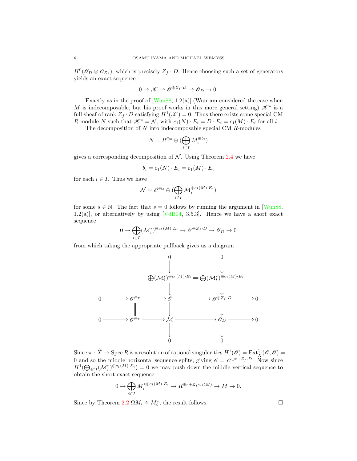$H^0(\mathcal{O}_D \otimes \mathcal{O}_{Z_f})$ , which is precisely  $Z_f \cdot D$ . Hence choosing such a set of generators yields an exact sequence

$$
0 \to \mathscr{K} \to \mathscr{O}^{\oplus Z_f \cdot D} \to \mathscr{O}_D \to 0.
$$

Exactly as in the proof of  $[Wun88, 1.2(a)]$  (Wunram considered the case when M is indecomposable, but his proof works in this more general setting)  $\mathscr{K}^*$  is a full sheaf of rank  $Z_f \cdot D$  satisfying  $H^1(\mathscr{K}) = 0$ . Thus there exists some special CM R-module N such that  $\mathscr{K}^* = \mathcal{N}$ , with  $c_1(N) \cdot E_i = D \cdot E_i = c_1(M) \cdot E_i$  for all i.

The decomposition of  $N$  into indecomposable special CM  $R$ -modules

$$
N=R^{\oplus s}\oplus (\bigoplus_{i\in I}M_i^{\oplus b_i})
$$

gives a corresponding decomposition of  $N$ . Using Theorem [2.4](#page-3-1) we have

$$
b_i = c_1(N) \cdot E_i = c_1(M) \cdot E_i
$$

for each  $i \in I$ . Thus we have

$$
\mathcal{N} = \mathscr{O}^{\oplus s} \oplus (\bigoplus_{i \in I} \mathcal{M}_i^{\oplus c_1(M) \cdot E_i})
$$

for some  $s \in \mathbb{N}$ . The fact that  $s = 0$  follows by running the argument in [\[Wun88,](#page-14-9) 1.2(a)], or alternatively by using [ $VdB04$ , 3.5.3]. Hence we have a short exact sequence

$$
0 \to \bigoplus_{i \in I} (\mathcal{M}_i^*)^{\oplus c_1(M) \cdot E_i} \to \mathscr{O}^{\oplus Z_f \cdot D} \to \mathscr{O}_D \to 0
$$

from which taking the appropriate pullback gives us a diagram



Since  $\pi : \widetilde{X} \to \operatorname{Spec} R$  is a resolution of rational singularities  $H^1(\mathscr{O}) = \operatorname{Ext}^1_{\widetilde{X}}(\mathscr{O}, \mathscr{O}) =$ 0 and so the middle horizontal sequence splits, giving  $\mathscr{E} = \mathscr{O}^{\oplus r + Z_f \cdot D}$ . Now since  $H^1(\bigoplus_{i\in I}(\mathcal{M}_i^*)^{\oplus c_1(M)\cdot E_i})=0$  we may push down the middle vertical sequence to obtain the short exact sequence

$$
0 \to \bigoplus_{i \in I} M_i^{*\oplus c_1(M)\cdot E_i} \to R^{\oplus r + Z_f\cdot c_1(M)} \to M \to 0.
$$

Since by Theorem  $2.2 \Omega M_i \cong M_i^*$  $2.2 \Omega M_i \cong M_i^*$ , the result follows.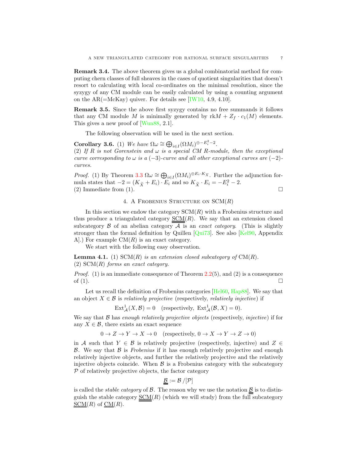Remark 3.4. The above theorem gives us a global combinatorial method for computing chern classes of full sheaves in the cases of quotient singularities that doesn't resort to calculating with local co-ordinates on the minimal resolution, since the syzygy of any CM module can be easily calculated by using a counting argument on the AR( $=$ McKay) quiver. For details see [\[IW10,](#page-14-5) 4.9, 4.10].

Remark 3.5. Since the above first syzygy contains no free summands it follows that any CM module M is minimally generated by  $r \cdot K M + Z_f \cdot c_1(M)$  elements. This gives a new proof of [\[Wun88,](#page-14-9) 2.1].

The following observation will be used in the next section.

<span id="page-7-0"></span>**Corollary 3.6.** (1) We have  $\Omega \omega \cong \bigoplus_{i \in I} (\Omega M_i)^{\oplus -E_i^2-2}$ . (2) If R *is not Gorenstein and*  $\omega$  *is a special CM* R-module, then the exceptional *curve corresponding to*  $\omega$  *is a* (−3)*-curve and all other exceptional curves are* (−2)*curves.*

*Proof.* (1) By Theorem [3.3](#page-5-2)  $\Omega \omega \cong \bigoplus_{i \in I} (\Omega M_i)^{\oplus E_i \cdot K_{\widetilde{X}}}$ . Further the adjunction formula states that  $-2 = (K_{\widetilde{X}} + E_i) \cdot E_i$  and so  $K_{\widetilde{X}} \cdot E_i = -E_i^2 - 2$ . (2) Immediate from (1).  $\overline{A}$ 

## 4. A FROBENIUS STRUCTURE ON  $SCM(R)$

In this section we endow the category  $SCM(R)$  with a Frobenius structure and thus produce a triangulated category  $SCM(R)$ . We say that an extension closed subcategory  $\beta$  of an abelian category  $\mathcal A$  is an *exact category*. (This is slightly stronger than the formal definition by Quillen  $\lbrack \text{Qui73} \rbrack$ . See also  $\lbrack \text{Kel90} \rbrack$ , Appendix A.) For example  $CM(R)$  is an exact category.

We start with the following easy observation.

**Lemma 4.1.** (1)  $SCM(R)$  *is an extension closed subcategory of*  $CM(R)$ *.* (2) SCM(R) *forms an exact category.*

*Proof.* (1) is an immediate consequence of Theorem [2.2\(](#page-3-0)5), and (2) is a consequence of  $(1)$ .

Let us recall the definition of Frobenius categories [\[Hel60,](#page-14-18) [Hap88\]](#page-14-19). We say that an object  $X \in \mathcal{B}$  is *relatively projective* (respectively, *relatively injective*) if

$$
\text{Ext}^1_{\mathcal{A}}(X,\mathcal{B}) = 0 \quad \text{(respectively, Ext}^1_{\mathcal{A}}(\mathcal{B},X) = 0\text{)}.
$$

We say that B has *enough relatively projective objects* (respectively, *injective*) if for any  $X \in \mathcal{B}$ , there exists an exact sequence

 $0 \to Z \to Y \to X \to 0$  (respectively,  $0 \to X \to Y \to Z \to 0$ )

in A such that  $Y \in \mathcal{B}$  is relatively projective (respectively, injective) and  $Z \in$ B. We say that B is *Frobenius* if it has enough relatively projective and enough relatively injective objects, and further the relatively projective and the relatively injective objects coincide. When  $\beta$  is a Frobenius category with the subcategory  $P$  of relatively projective objects, the factor category

$$
\underline{\mathcal{B}} := \mathcal{B}/[\mathcal{P}]
$$

is called the *stable category* of  $\beta$ . The reason why we use the notation  $\underline{\beta}$  is to distinguish the stable category  $\underline{SCM}(R)$  (which we will study) from the full subcategory  $\underline{\text{SCM}}(R)$  of  $\underline{\text{CM}}(R)$ .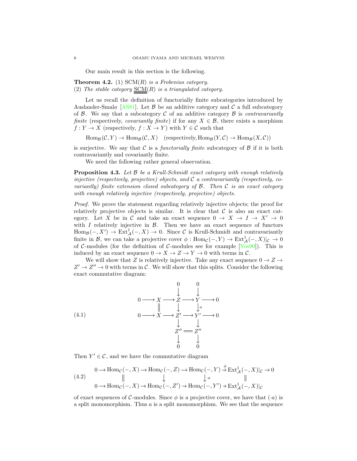Our main result in this section is the following.

<span id="page-8-2"></span>Theorem 4.2. (1) SCM(R) *is a Frobenius category.* (2) *The stable category* SCM(R) *is a triangulated category.*

Let us recall the definition of functorially finite subcategories introduced by Auslander-Smalø [\[AS81\]](#page-14-6). Let  $\beta$  be an additive category and  $\beta$  a full subcategory of  $\beta$ . We say that a subcategory  $\beta$  of an additive category  $\beta$  is *contravariantly finite* (respectively, *covariantly finite*) if for any  $X \in \mathcal{B}$ , there exists a morphism  $f: Y \to X$  (respectively,  $f: X \to Y$ ) with  $Y \in \mathcal{C}$  such that

 $\text{Hom}_{\mathcal{B}}(\mathcal{C}, Y) \to \text{Hom}_{\mathcal{B}}(\mathcal{C}, X)$  (respectively,  $\text{Hom}_{\mathcal{B}}(Y, \mathcal{C}) \to \text{Hom}_{\mathcal{B}}(X, \mathcal{C})$ )

is surjective. We say that  $\mathcal C$  is a *functorially finite* subcategory of  $\mathcal B$  if it is both contravariantly and covariantly finite.

We need the following rather general observation.

Proposition 4.3. *Let* B *be a Krull-Schmidt exact category with enough relatively injective (respectively, projective) objects, and* C *a contravariantly (respectively, covariantly) finite extension closed subcategory of* B*. Then* C *is an exact category with enough relatively injective (respectively, projective) objects.*

*Proof.* We prove the statement regarding relatively injective objects; the proof for relatively projective objects is similar. It is clear that  $\mathcal C$  is also an exact category. Let X be in C and take an exact sequence  $0 \to X \to I \to X' \to 0$ with  $I$  relatively injective in  $\beta$ . Then we have an exact sequence of functors  $\text{Hom}_{\mathcal{B}}(-, X') \to \text{Ext}^1_{\mathcal{A}}(-, X) \to 0$ . Since C is Krull-Schmidt and contravariantly finite in B, we can take a projective cover  $\phi: \text{Hom}_{\mathcal{C}}(-, Y) \to \text{Ext}^1_{\mathcal{A}}(-, X)|_{\mathcal{C}} \to 0$ of C-modules (for the definition of C-modules see for example  $[Yos90]$ ). This is induced by an exact sequence  $0 \to X \to Z \to Y \to 0$  with terms in C.

We will show that Z is relatively injective. Take any exact sequence  $0 \to Z \to$  $Z' \to Z'' \to 0$  with terms in C. We will show that this splits. Consider the following exact commutative diagram:



<span id="page-8-1"></span>Then  $Y' \in \mathcal{C}$ , and we have the commutative diagram

<span id="page-8-0"></span>
$$
(4.2) \quad 0 \to \text{Hom}_{\mathcal{C}}(-, X) \to \text{Hom}_{\mathcal{C}}(-, Z) \to \text{Hom}_{\mathcal{C}}(-, Y) \stackrel{\phi}{\to} \text{Ext}_{\mathcal{A}}^{1}(-, X)|_{\mathcal{C}} \to 0
$$
\n
$$
(4.2) \quad \begin{array}{c} \parallel \\ \parallel \\ \downarrow \end{array}
$$
\n
$$
0 \to \text{Hom}_{\mathcal{C}}(-, X) \to \text{Hom}_{\mathcal{C}}(-, Z') \to \text{Hom}_{\mathcal{C}}(-, Y') \to \text{Ext}_{\mathcal{A}}^{1}(-, X)|_{\mathcal{C}}
$$

of exact sequences of C-modules. Since  $\phi$  is a projective cover, we have that  $(a)$  is a split monomorphism. Thus  $a$  is a split monomorphism. We see that the sequence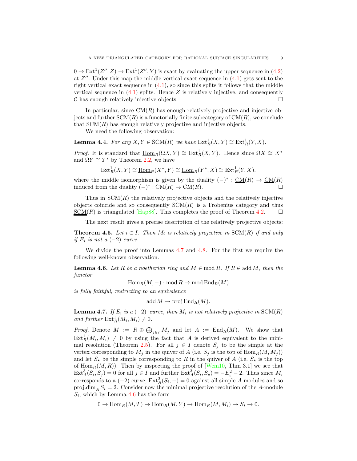$0 \to \text{Ext}^1(Z'', Z) \to \text{Ext}^1(Z'', Y)$  is exact by evaluating the upper sequence in [\(4.2\)](#page-8-0) at  $Z''$ . Under this map the middle vertical exact sequence in  $(4.1)$  gets sent to the right vertical exact sequence in  $(4.1)$ , so since this splits it follows that the middle vertical sequence in  $(4.1)$  splits. Hence Z is relatively injective, and consequently  $\mathcal C$  has enough relatively injective objects.  $\square$ 

In particular, since  $CM(R)$  has enough relatively projective and injective objects and further  $SCM(R)$  is a functorially finite subcategory of  $CM(R)$ , we conclude that  $SCM(R)$  has enough relatively projective and injective objects.

We need the following observation:

**Lemma 4.4.** *For any*  $X, Y \in \text{SCM}(R)$  *we have*  $\text{Ext}^1_R(X, Y) \cong \text{Ext}^1_R(Y, X)$ *.* 

*Proof.* It is standard that  $\underline{\text{Hom}}_R(\Omega X, Y) \cong \text{Ext}^1_R(X, Y)$ . Hence since  $\Omega X \cong X^*$ and  $\Omega Y \cong Y^*$  by Theorem [2.2,](#page-3-0) we have

$$
\operatorname{Ext}_R^1(X,Y) \cong \underline{\operatorname{Hom}}_R(X^*,Y) \cong \underline{\operatorname{Hom}}_R(Y^*,X) \cong \operatorname{Ext}_R^1(Y,X).
$$

where the middle isomorphism is given by the duality  $(-)^* : \underline{CM}(R) \to \underline{CM}(R)$ induced from the duality  $(-)^*$ : CM(R) → CM(R).

Thus in  $SCM(R)$  the relatively projective objects and the relatively injective objects coincide and so consequently  $SCM(R)$  is a Frobenius category and thus <u>SCM</u>(*R*) is triangulated [\[Hap88\]](#page-14-19). This completes the proof of Theorem [4.2.](#page-8-2)  $\square$ 

The next result gives a precise description of the relatively projective objects:

<span id="page-9-2"></span>**Theorem 4.5.** Let  $i \in I$ . Then  $M_i$  is relatively projective in  $SCM(R)$  if and only *if*  $E_i$  *is not a*  $(-2)$ *-curve.* 

We divide the proof into Lemmas [4.7](#page-9-0) and [4.8.](#page-10-0) For the first we require the following well-known observation.

<span id="page-9-1"></span>**Lemma 4.6.** Let R be a noetherian ring and  $M \in \text{mod } R$ . If  $R \in \text{add } M$ , then the *functor*

 $\operatorname{Hom}_R(M,-)$ : mod  $R \to \operatorname{mod} \operatorname{End}_R(M)$ 

*is fully faithful, restricting to an equivalence*

 $\text{add}\,M\to \text{proj}\,\text{End}_R(M).$ 

<span id="page-9-0"></span>**Lemma 4.7.** *If*  $E_i$  *is a*  $(-2)$ *–curve, then*  $M_i$  *is not relatively projective in* SCM $(R)$ and further  $\text{Ext}^1_R(M_i, M_i) \neq 0$ .

*Proof.* Denote  $M := R \oplus \bigoplus_{j \in I} M_j$  and let  $A := \text{End}_R(M)$ . We show that  $\text{Ext}_{R}^{1}(M_{i},M_{i}) \neq 0$  by using the fact that A is derived equivalent to the mini-mal resolution (Theorem [2.5\)](#page-4-0). For all  $j \in I$  denote  $S_j$  to be the simple at the vertex corresponding to  $M_j$  in the quiver of A (i.e.  $S_j$  is the top of  $\text{Hom}_R(M, M_j)$ ) and let  $S_{\star}$  be the simple corresponding to R in the quiver of A (i.e.  $S_{\star}$  is the top of  $\text{Hom}_R(M, R)$ . Then by inspecting the proof of [\[Wem10,](#page-14-4) Thm 3.1] we see that  $\text{Ext}_{A}^{3}(S_{i}, S_{j}) = 0$  for all  $j \in I$  and further  $\text{Ext}_{A}^{3}(S_{i}, S_{\star}) = -E_{i}^{2} - 2$ . Thus since  $M_{i}$ corresponds to a  $(-2)$  curve,  $\text{Ext}_{A}^{3}(S_{i}, -) = 0$  against all simple A modules and so proj.dim<sub>A</sub>  $S_i = 2$ . Consider now the minimal projective resolution of the A-module  $S_i$ , which by Lemma [4.6](#page-9-1) has the form

$$
0 \to \operatorname{Hom}_R(M, T) \to \operatorname{Hom}_R(M, Y) \to \operatorname{Hom}_R(M, M_i) \to S_i \to 0.
$$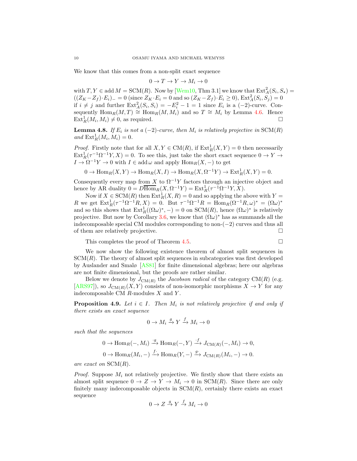We know that this comes from a non-split exact sequence

$$
0 \to T \to Y \to M_i \to 0
$$

with  $T, Y \in \text{add } M = \text{SCM}(R)$ . Now by [\[Wem10,](#page-14-4) Thm 3.1] we know that  $\text{Ext}_{A}^{2}(S_{i}, S_{\star}) =$  $((Z_K - Z_f) \cdot E_i)$  = 0 (since  $Z_K \cdot E_i = 0$  and so  $(Z_K - Z_f) \cdot E_i \ge 0$ ),  $\text{Ext}^2_A(S_i, S_j) = 0$ if  $i \neq j$  and further  $\text{Ext}_{A}^{2}(S_{i}, S_{i}) = -E_{i}^{2} - 1 = 1$  since  $E_{i}$  is a  $(-2)$ -curve. Consequently  $\text{Hom}_R(M, T) \cong \text{Hom}_R(M, M_i)$  and so  $T \cong M_i$  by Lemma [4.6.](#page-9-1) Hence  $\text{Ext}_{R}^{1}(M_{i}, M_{i}) \neq 0$ , as required.

<span id="page-10-0"></span>**Lemma 4.8.** *If*  $E_i$  *is not a* (−2)*-curve, then*  $M_i$  *is relatively projective in* SCM(R)  $and \text{ Ext}^{1}_{R}(M_{i}, M_{i}) = 0.$ 

*Proof.* Firstly note that for all  $X, Y \in CM(R)$ , if  $Ext_R^1(X, Y) = 0$  then necessarily  $\text{Ext}_{R}^{1}(\tau^{-1}\Omega^{-1}Y,X)=0.$  To see this, just take the short exact sequence  $0 \to Y \to$  $I \to \Omega^{-1} Y \to 0$  with  $I \in \text{add } \omega$  and apply  $\text{Hom}_R(X, -)$  to get

$$
0 \to \text{Hom}_R(X, Y) \to \text{Hom}_R(X, I) \to \text{Hom}_R(X, \Omega^{-1}Y) \to \text{Ext}^1_R(X, Y) = 0.
$$

Consequently every map from X to  $\Omega^{-1}Y$  factors through an injective object and hence by AR duality  $0 = D \overline{\text{Hom}}_R(X, \Omega^{-1}Y) = \text{Ext}^1_R(\tau^{-1} \Omega^{-1} Y, X).$ 

Now if  $X \in \text{SCM}(R)$  then  $\text{Ext}^1_R(X,R) = 0$  and so applying the above with  $Y =$ R we get  $\text{Ext}^1_R(\tau^{-1}\Omega^{-1}R, X) = 0$ . But  $\tau^{-1}\Omega^{-1}R = \text{Hom}_R(\Omega^{-1}R, \omega)^* = (\Omega \omega)^*$ and so this shows that  $\text{Ext}^1_R((\Omega \omega)^*, -) = 0$  on  $\text{SCM}(R)$ , hence  $(\Omega \omega)^*$  is relatively projective. But now by Corollary [3.6,](#page-7-0) we know that  $(\Omega \omega)^*$  has as summands all the indecomposable special CM modules corresponding to non- $(-2)$  curves and thus all of them are relatively projective.

This completes the proof of Theorem [4.5.](#page-9-2)

We now show the following existence theorem of almost split sequences in  $SCM(R)$ . The theory of almost split sequences in subcategories was first developed by Auslander and Smalø [\[AS81\]](#page-14-6) for finite dimensional algebras; here our algebras are not finite dimensional, but the proofs are rather similar.

Below we denote by  $J_{\text{CM}(R)}$  the *Jacobson radical* of the category  $\text{CM}(R)$  (e.g. [\[ARS97\]](#page-14-2)), so  $J_{\text{CM}(R)}(X, Y)$  consists of non-isomorphic morphisms  $X \to Y$  for any indecomposable CM  $R$ -modules  $X$  and  $Y$ .

**Proposition 4.9.** *Let*  $i \in I$ . Then  $M_i$  is not relatively projective if and only if *there exists an exact sequence*

$$
0 \to M_i \xrightarrow{g} Y \xrightarrow{f} M_i \to 0
$$

*such that the sequences*

$$
0 \to \operatorname{Hom}_R(-, M_i) \xrightarrow{g} \operatorname{Hom}_R(-, Y) \xrightarrow{f} J_{\operatorname{CM}(R)}(-, M_i) \to 0,
$$
  

$$
0 \to \operatorname{Hom}_R(M_i, -) \xrightarrow{f^*} \operatorname{Hom}_R(Y, -) \xrightarrow{g^*} J_{\operatorname{CM}(R)}(M_i, -) \to 0.
$$

*are exact on* SCM(R)*.*

*Proof.* Suppose  $M_i$  not relatively projective. We firstly show that there exists an almost split sequence  $0 \to Z \to Y \to M_i \to 0$  in SCM(R). Since there are only finitely many indecomposable objects in  $SCM(R)$ , certainly there exists an exact sequence

$$
0\to Z\stackrel{g}{\to}Y\stackrel{f}{\to}M_i\to 0
$$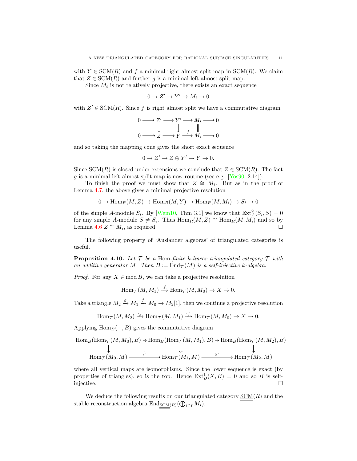with  $Y \in \text{SCM}(R)$  and f a minimal right almost split map in  $\text{SCM}(R)$ . We claim that  $Z \in \text{SCM}(R)$  and further g is a minimal left almost split map.

Since  $M_i$  is not relatively projective, there exists an exact sequence

$$
0 \to Z' \to Y' \to M_i \to 0
$$

with  $Z' \in \text{SCM}(R)$ . Since f is right almost split we have a commutative diagram

$$
0 \longrightarrow Z' \longrightarrow Y' \longrightarrow M_i \longrightarrow 0
$$
  

$$
\downarrow \qquad \qquad \downarrow \qquad \parallel
$$
  

$$
0 \longrightarrow Z \longrightarrow Y \longrightarrow M_i \longrightarrow 0
$$

and so taking the mapping cone gives the short exact sequence

$$
0 \to Z' \to Z \oplus Y' \to Y \to 0.
$$

Since  $SCM(R)$  is closed under extensions we conclude that  $Z \in SCM(R)$ . The fact g is a minimal left almost split map is now routine (see e.g.  $[Y<sub>OS</sub>90, 2.14]$ ).

To finish the proof we must show that  $Z \cong M_i$ . But as in the proof of Lemma [4.7,](#page-9-0) the above gives a minimal projective resolution

$$
0 \to \text{Hom}_R(M, Z) \to \text{Hom}_R(M, Y) \to \text{Hom}_R(M, M_i) \to S_i \to 0
$$

of the simple A-module  $S_i$ . By [\[Wem10,](#page-14-4) Thm 3.1] we know that  $\text{Ext}_{A}^{2}(S_i, S) = 0$ for any simple A-module  $S \neq S_i$ . Thus  $\text{Hom}_R(M, Z) \cong \text{Hom}_R(M, M_i)$  and so by Lemma [4.6](#page-9-1)  $Z \cong M_i$ , as required.

The following property of 'Auslander algebras' of triangulated categories is useful.

<span id="page-11-0"></span>Proposition 4.10. *Let* T *be a* Hom*-finite* k*-linear triangulated category* T *with* an additive generator M. Then  $B := \text{End}_{\mathcal{T}}(M)$  is a self-injective k-algebra.

*Proof.* For any  $X \in \text{mod } B$ , we can take a projective resolution

$$
\operatorname{Hom}\nolimits_{\mathcal{T}}(M,M_1) \stackrel{\cdot f}{\longrightarrow} \operatorname{Hom}\nolimits_{\mathcal{T}}(M,M_0) \to X \to 0.
$$

Take a triangle  $M_2 \stackrel{g}{\rightarrow} M_1 \stackrel{f}{\rightarrow} M_0 \rightarrow M_2[1]$ , then we continue a projective resolution

$$
\text{Hom}_{\mathcal{T}}(M, M_2) \xrightarrow{\cdot g} \text{Hom}_{\mathcal{T}}(M, M_1) \xrightarrow{\cdot f} \text{Hom}_{\mathcal{T}}(M, M_0) \to X \to 0.
$$

Applying  $\text{Hom}_B(-, B)$  gives the commutative diagram

$$
Hom_B(Hom_{\mathcal{T}}(M, M_0), B) \to Hom_B(Hom_{\mathcal{T}}(M, M_1), B) \to Hom_B(Hom_{\mathcal{T}}(M, M_2), B)
$$
  
\n
$$
\downarrow \qquad \qquad \downarrow \qquad \qquad \downarrow
$$
  
\n
$$
Hom_{\mathcal{T}}(M_0, M) \xrightarrow{f^*} Hom_{\mathcal{T}}(M_1, M) \xrightarrow{g^*} Hom_{\mathcal{T}}(M_2, M)
$$

where all vertical maps are isomorphisms. Since the lower sequence is exact (by properties of triangles), so is the top. Hence  $\text{Ext}^1_B(X, B) = 0$  and so B is selfinjective.  $\Box$ 

We deduce the following results on our triangulated category  $SCM(R)$  and the</u> stable reconstruction algebra  $\text{End}_{\underline{SCM}(R)}(\bigoplus_{i \in I} M_i)$ .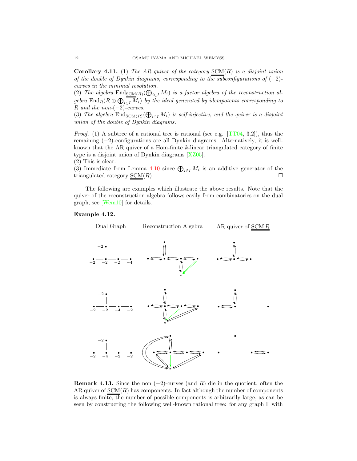Corollary 4.11. (1) *The AR quiver of the category* SCM(R) *is a disjoint union of the double of Dynkin diagrams, corresponding to the subconfigurations of* (−2) *curves in the minimal resolution.*

(2) The algebra  $\text{End}_{\underline{SCM}(R)}(\bigoplus_{i\in I}M_i)$  is a factor algebra of the reconstruction algebra  $\text{End}_R(R \oplus \bigoplus_{i \in I} M_i)$  by the ideal generated by idempotents corresponding to R *and the non-*(−2)*-curves.*

(3) *The algebra*  $\text{End}_{\text{SCM}(R)}(\bigoplus_{i\in I}M_i)$  *is self-injective, and the quiver is a disjoint union of the double of Dynkin diagrams.*

*Proof.* (1) A subtree of a rational tree is rational (see e.g.  $[TT04, 3.2]$ ), thus the remaining (−2)-configurations are all Dynkin diagrams. Alternatively, it is wellknown that the AR quiver of a Hom-finite k-linear triangulated category of finite type is a disjoint union of Dynkin diagrams [\[XZ05\]](#page-15-1).

(2) This is clear.

(3) Immediate from Lemma [4.10](#page-11-0) since  $\bigoplus_{i\in I} M_i$  is an additive generator of the triangulated category  $\underline{\text{SCM}}(R)$ .

The following are examples which illustrate the above results. Note that the quiver of the reconstruction algebra follows easily from combinatorics on the dual graph, see [\[Wem10\]](#page-14-4) for details.

# Example 4.12.



**Remark 4.13.** Since the non  $(-2)$ -curves (and R) die in the quotient, often the AR quiver of  $SCM(R)$  has components. In fact although the number of components</u> is always finite, the number of possible components is arbitrarily large, as can be seen by constructing the following well-known rational tree: for any graph  $\Gamma$  with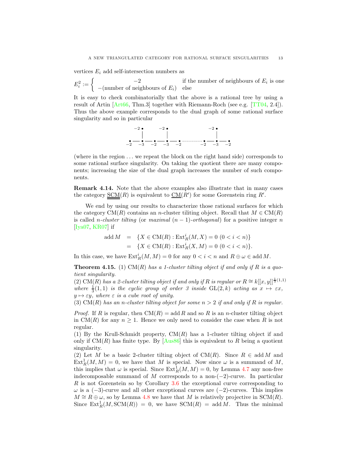vertices  $E_i$  add self-intersection numbers as

 $E_i^2 := \begin{cases} -2 & \text{if the number of neighbours of } E_i \text{ is one} \\ -\text{(number of neighbours of } E_i) & \text{else} \end{cases}$  $-(\text{number of neighbours of } E_i)$  else

It is easy to check combinatorially that the above is a rational tree by using a result of Artin [\[Art66,](#page-14-10) Thm.3] together with Riemann-Roch (see e.g. [\[TT04,](#page-14-20) 2.4]). Thus the above example corresponds to the dual graph of some rational surface singularity and so in particular

−2 −3 −2 −2 −3 −2 −2 −2 −3 −2 −2

(where in the region . . . we repeat the block on the right hand side) corresponds to some rational surface singularity. On taking the quotient there are many components; increasing the size of the dual graph increases the number of such components.

Remark 4.14. Note that the above examples also illustrate that in many cases the category  $\underline{\text{SCM}}(R)$  is equivalent to  $\underline{\text{CM}}(R')$  for some Gorenstein ring  $R'$ .

We end by using our results to characterize those rational surfaces for which the category  $CM(R)$  contains an n-cluster tiliting object. Recall that  $M \in CM(R)$ is called *n*-cluster tilting (or *maximal*  $(n - 1)$ -orthogonal) for a positive integer *n* [\[Iya07,](#page-14-21) [KR07\]](#page-14-22) if

add 
$$
M
$$
 = { $X \in CM(R)$ : Ext<sup>i</sup><sub>R</sub> $(M, X) = 0$  (0 <  $i < n$ )}  
= { $X \in CM(R)$ : Ext<sup>i</sup><sub>R</sub> $(X, M) = 0$  (0 <  $i < n$ )}.

In this case, we have  $\mathrm{Ext}^i_R(M,M) = 0$  for any  $0 < i < n$  and  $R \oplus \omega \in \mathrm{add}\,M$ .

Theorem 4.15. (1) CM(R) *has a 1-cluster tilting object if and only if* R *is a quotient singularity.*

(2) CM(R) has a 2-cluster tilting object if and only if R is regular or  $R ≅ k[[x, y]]^{\frac{1}{3}(1,1)}$ where  $\frac{1}{3}(1,1)$  *is the cyclic group of order 3 inside* GL(2, k) *acting as*  $x \mapsto \varepsilon x$ ,  $y \mapsto \varepsilon y$ *, where*  $\varepsilon$  *is a cube root of unity.* 

(3) CM(R) *has an* n*-cluster tilting object for some* n > 2 *if and only if* R *is regular.*

*Proof.* If R is regular, then  $CM(R) = \text{add } R$  and so R is an n-cluster tilting object in CM(R) for any  $n \geq 1$ . Hence we only need to consider the case when R is not regular.

(1) By the Krull-Schmidt property,  $CM(R)$  has a 1-cluster tilting object if and only if  $CM(R)$  has finite type. By [\[Aus86\]](#page-14-0) this is equivalent to R being a quotient singularity.

(2) Let M be a basic 2-cluster tilting object of CM(R). Since  $R \in \text{add } M$  and  $\text{Ext}_{R}^{1}(M, M) = 0$ , we have that M is special. Now since  $\omega$  is a summand of M, this implies that  $\omega$  is special. Since  $\text{Ext}^1_R(M,M) = 0$ , by Lemma [4.7](#page-9-0) any non-free indecomposable summand of M corresponds to a non- $(-2)$ -curve. In particular R is not Gorenstein so by Corollary [3.6](#page-7-0) the exceptional curve corresponding to  $\omega$  is a (−3)-curve and all other exceptional curves are (−2)-curves. This implies  $M \cong R \oplus \omega$ , so by Lemma [4.8](#page-10-0) we have that M is relatively projective in SCM(R). Since  $\text{Ext}^1_R(M,\text{SCM}(R)) = 0$ , we have  $\text{SCM}(R) = \text{add }M$ . Thus the minimal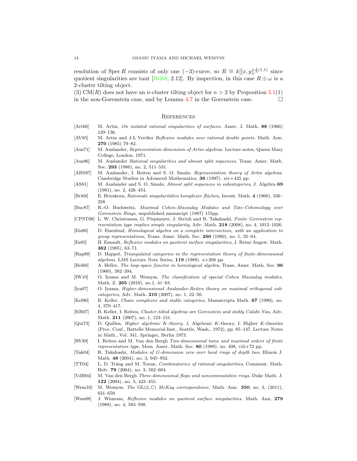resolution of Spec R consists of only one  $(-3)$ -curve, so  $R \cong k[[x,y]]^{\frac{1}{3}(1,1)}$  since quotient singularities are taut [\[Bri68,](#page-14-23) 2.12]. By inspection, in this case  $R \oplus \omega$  is a 2-cluster tilting object.

(3) CM(R) does not have an *n*-cluster tilting object for  $n > 2$  by Proposition [3.1\(](#page-5-1)1) in the non-Gorenstein case, and by Lemma [4.7](#page-9-0) in the Gorenstein case.  $\Box$ 

### **REFERENCES**

- <span id="page-14-10"></span>[Art66] M. Artin, On isolated rational singularities of surfaces. Amer. J. Math. 88 (1966) 129–136.
- <span id="page-14-15"></span>[AV85] M. Artin and J-L Verdier Reflexive modules over rational double points. Math. Ann. 270 (1985) 79–82.
- <span id="page-14-1"></span>[Aus71] M. Auslander, Representation dimension of Artin algebras. Lecture notes, Queen Mary College, London, 1971.
- <span id="page-14-0"></span>[Aus86] M. Auslander Rational singularities and almost split sequences. Trans. Amer. Math. Soc. 293 (1986), no. 2, 511–531.
- <span id="page-14-2"></span>[ARS97] M. Auslander, I. Reiten and S. O. Smalø, Representation theory of Artin algebras. Cambridge Studies in Advanced Mathematics, 36 (1997). xiv+425 pp.
- <span id="page-14-6"></span>[AS81] M. Auslander and S. O. Smalø, *Almost split sequences in subcategories*, J. Algebra 69 (1981), no. 2, 426–454.
- <span id="page-14-23"></span>[Bri68] E. Brieskorn, Rationale singularitäten komplexer flächen, Invent. Math. 4 (1968), 336– 358.
- <span id="page-14-7"></span>[Buc87] R.-O. Buchweitz, Maximal Cohen-Macaulay Modules and Tate-Cohomology over Gorenstein Rings, unpublished manuscipt (1987) 155pp.
- <span id="page-14-13"></span>[CPST08] L. W. Christensen, G. Piepmeyer, J. Striuli and R. Takahashi, Finite Gorenstein representation type implies simple singularity, Adv. Math. 218 (2008), no. 4, 1012–1026. [Eis80] D. Eisenbud, Homological algebra on a complete intersection, with an application to
- <span id="page-14-14"></span>group representations, Trans. Amer. Math. Soc. 260 (1980), no. 1, 35–64.
- <span id="page-14-8"></span>[Es85] H. Esnault, Reflexive modules on quotient surface singularities, J. Reine Angew. Math. 362 (1985), 63–71.
- <span id="page-14-19"></span>[Hap88] D. Happel, Triangulated categories in the representation theory of finite-dimensional algebras. LMS Lecture Note Series, 119 (1988). x+208 pp.
- <span id="page-14-18"></span>[Hel60] A. Heller, The loop-space functor in homological algebra, Trans. Amer. Math. Soc. 96 (1960), 382–394.
- <span id="page-14-5"></span>[IW10] O. Iyama and M. Wemyss, The classification of special Cohen Macaulay modules, Math. Z. 265 (2010), no.1, 41–83.
- <span id="page-14-21"></span>[Iya07] O. Iyama, Higher-dimensional Auslander-Reiten theory on maximal orthogonal subcategories, Adv. Math. 210 (2007), no. 1, 22–50.
- <span id="page-14-17"></span>[Kel90] B. Keller, Chain complexes and stable categories, Manuscripta Math. 67 (1990), no. 4, 379–417.
- <span id="page-14-22"></span>[KR07] B. Keller, I. Reiten, Cluster-tilted algebras are Gorenstein and stably Calabi-Yau, Adv. Math. 211 (2007), no. 1, 123–151.
- <span id="page-14-16"></span>[Qui73] D. Quillen, Higher algebraic K-theory. I, Algebraic K-theory, I: Higher K-theories (Proc. Conf., Battelle Memorial Inst., Seattle, Wash., 1972), pp. 85–147. Lecture Notes in Math., Vol. 341, Springer, Berlin 1973.
- <span id="page-14-3"></span>[RV89] I. Reiten and M. Van den Bergh Two-dimensional tame and maximal orders of finite representation type. Mem. Amer. Math. Soc. 80 (1989), no. 408, viii+72 pp.
- <span id="page-14-12"></span>[Tak04] R. Takahashi, Modules of G-dimension zero over local rings of depth two, Illinois J. Math. 48 (2004), no. 3, 945–952.
- <span id="page-14-20"></span>[TT04] L. D. Tráng and M. Tosun, Combinatorics of rational singularities, Comment. Math. Helv. 79 (2004), no. 3, 582–604.
- <span id="page-14-11"></span>[VdB04] M. Van den Bergh Three-dimensional flops and noncommutative rings, Duke Math. J. 122 (2004), no. 3, 423–455.
- <span id="page-14-4"></span>[Wem10] M. Wemyss, The  $GL(2,\mathbb{C})$  McKay correspondence, Math. Ann. 350, no. 3, (2011), 631–659.
- <span id="page-14-9"></span>[Wun88] J. Wunram, Reflexive modules on quotient surface singularities, Math. Ann. 279 (1988), no. 4, 583–598.